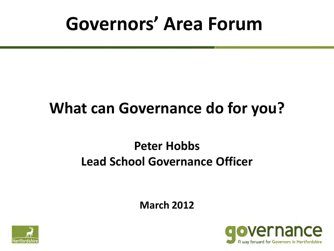### **Governors' Area Forum**

### **What can Governance do for you?**

#### **Peter Hobbs Lead School Governance Officer**

**March 2012**



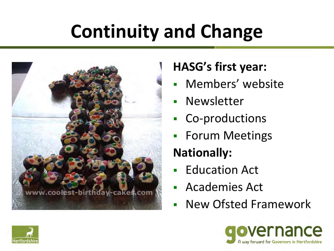# **Continuity and Change**



### **HASG's first year:**

- Members' website
- Newsletter
- Co-productions
- **Forum Meetings**

### **Nationally:**

- Education Act
- Academies Act
- New Ofsted Framework



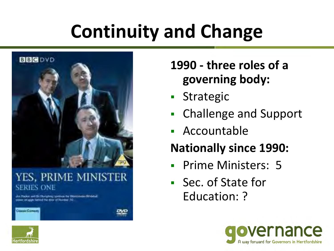# **Continuity and Change**



#### YES, PRIME MINISTER SERIES ONE

Jim Hacker and Bir Humphrey continue the Westmannier-Windows as tellungagile linefected that about all bicampus (10).

### **1990 - three roles of a governing body:**

- **Strategic**
- Challenge and Support
- Accountable

### **Nationally since 1990:**

- Prime Ministers: 5
- Sec. of State for Education: ?



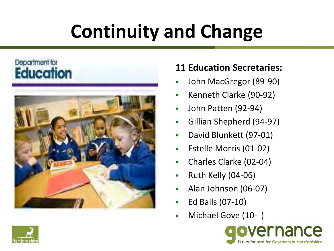# **Continuity and Change**

#### Department for **Education**



#### **11 Education Secretaries:**

- John MacGregor (89-90)
- Kenneth Clarke (90-92)
- **John Patten (92-94)**
- Gillian Shepherd (94-97)
- David Blunkett (97-01)
- **Extelle Morris (01-02)**
- Charles Clarke (02-04)
- $\blacksquare$  Ruth Kelly (04-06)
- Alan Johnson (06-07)
- Ed Balls (07-10)
- Michael Gove (10-)



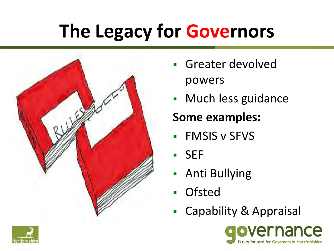## **The Legacy for Governors**



- **Greater devolved** powers
- **Much less guidance**

#### **Some examples:**

- **FMSIS v SFVS**
- SEF
- Anti Bullying
- **Ofsted**
- Capability & Appraisal



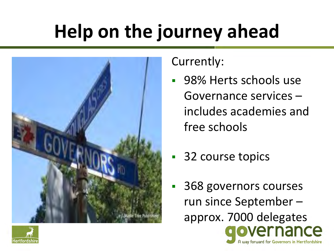# **Help on the journey ahead**



Currently:

- 98% Herts schools use Governance services – includes academies and free schools
- 32 course topics
- 368 governors courses run since September – approx. 7000 delegatesnce A way forward for Governors in Hertfordshire

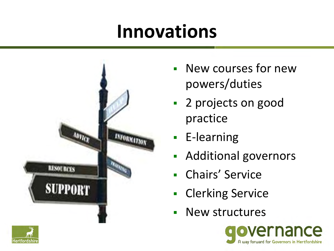### **Innovations**



- New courses for new powers/duties
- 2 projects on good practice
- **E-learning**
- **Additional governors**
- Chairs' Service
- Clerking Service
- **New structures**



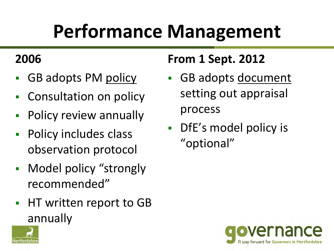# **Performance Management**

#### **2006**

- GB adopts PM policy
- Consultation on policy
- **Policy review annually**
- **Policy includes class** observation protocol
- **Nodel policy "strongly** recommended"
- **HT written report to GB** annually

### **From 1 Sept. 2012**

- GB adopts document setting out appraisal process
- DfE's model policy is "optional"



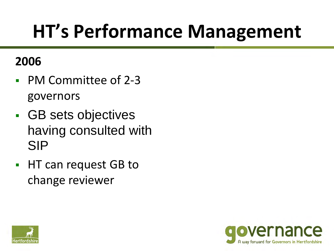### **HT's Performance Management**

#### **2006**

- PM Committee of 2-3 governors
- GB sets objectives having consulted with SIP
- **HT can request GB to** change reviewer



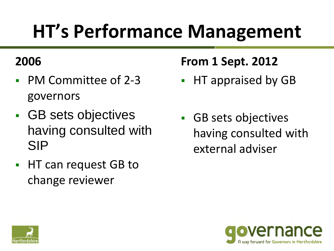## **HT's Performance Management**

#### **2006**

- PM Committee of 2-3 governors
- **GB** sets objectives having consulted with SIP
- **HT can request GB to** change reviewer

### **From 1 Sept. 2012**

- HT appraised by GB
- GB sets objectives having consulted with external adviser



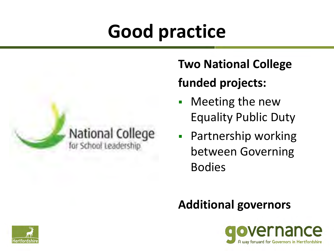## **Good practice**



### **Two National College funded projects:**

- Meeting the new Equality Public Duty
- **Partnership working** between Governing Bodies

#### **Additional governors**



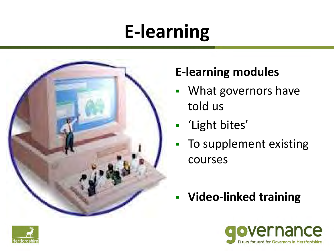## **E-learning**



#### **E-learning modules**

- **What governors have** told us
- **-** 'Light bites'
- **To supplement existing** courses
- **Video-linked training**



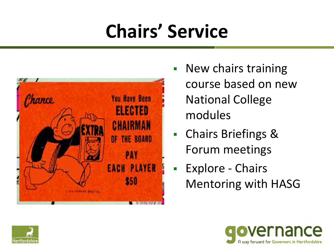# **Chairs' Service**



- **New chairs training** course based on new National College modules
- Chairs Briefings & Forum meetings
- **Explore Chairs** Mentoring with HASG



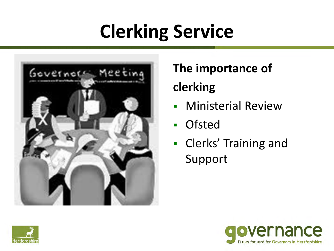# **Clerking Service**



### **The importance of clerking**

- **-** Ministerial Review
- **Ofsted**
- **Clerks' Training and** Support



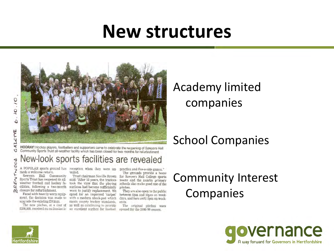### **New structures**



HOORAY! Hockey players, footballers and supporters came to celebrate the reopening of Sawyers Hall Community Sports Trust all-weather facility which has been closed for two months for refurbishment

#### New-look sports facilities are revealed

A POPULAR sports ground has reception when they were un-practice and five-a-side games." made a welcome return.

TW. Sawyers Hall Community ξN Sports Trust has reopened its allweather football and hockey fa- took the view that the playing Q. cilities, following a two-month surfaces had become sufficiently co closure for refurbishment.

ment, the decision was made to with a modern shock-pad which upgrade the existing fittings.

£200,000, received an enthusiastic an excellent surface for football

veiled.

Trust chairman Neville Brown said: "After 12 years, the trustees worn to justify replacement. We Faced with heavily worn equip- opted for an improved 'carpet' meets county hockey standards, ends. The new pitches, at a cost of as well as continuing to provide

The grounds provide a home for Sawyers Hall College sports teams and the nearby primary schools also make good use of the pitches.

They are also open to the public hetween 5pm and 10pm on weekdays, and 9am until 5pm on week-

The original pitches were upened for the 1998/99 season.

#### Academy limited companies

#### School Companies

#### Community Interest **Companies**





U

 $00d$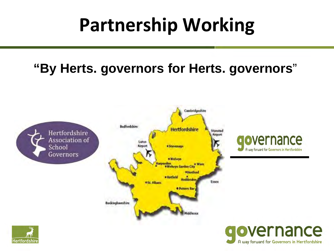### **Partnership Working**

#### **"By Herts. governors for Herts. governors**"



A way forward for Governors in Hertfordshire